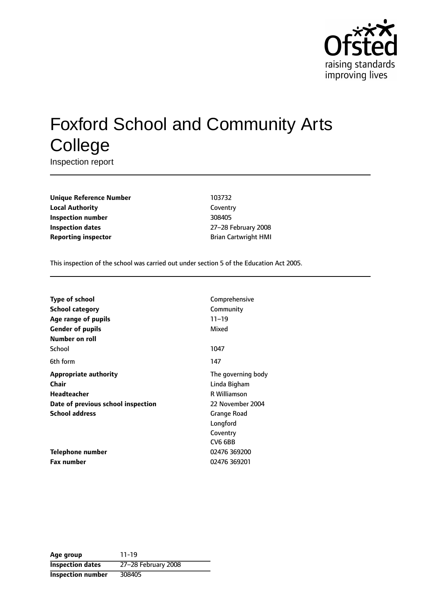

# Foxford School and Community Arts **College**

Inspection report

**Unique Reference Number** 103732 **Local Authority** Coventry **Inspection number** 308405 **Inspection dates** 27-28 February 2008 **Reporting inspector Brian Cartwright HMI** 

This inspection of the school was carried out under section 5 of the Education Act 2005.

| <b>Type of school</b>              | Comprehensive       |
|------------------------------------|---------------------|
| School category                    | Community           |
| Age range of pupils                | $11 - 19$           |
| <b>Gender of pupils</b>            | Mixed               |
| Number on roll                     |                     |
| School                             | 1047                |
| 6th form                           | 147                 |
| <b>Appropriate authority</b>       | The governing body  |
| Chair                              | Linda Bigham        |
| <b>Headteacher</b>                 | <b>R</b> Williamson |
| Date of previous school inspection | 22 November 2004    |
| <b>School address</b>              | Grange Road         |
|                                    | Longford            |
|                                    | Coventry            |
|                                    | CV6 6BB             |
| <b>Telephone number</b>            | 02476 369200        |
| <b>Fax number</b>                  | 02476 369201        |

**Age group** 11-19 **Inspection dates** 27-28 February 2008 **Inspection number** 308405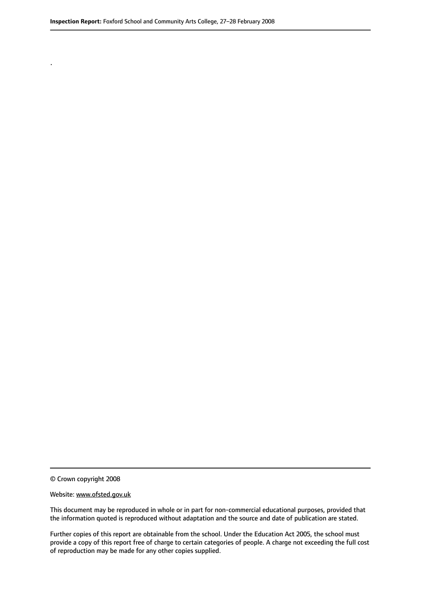© Crown copyright 2008

.

#### Website: www.ofsted.gov.uk

This document may be reproduced in whole or in part for non-commercial educational purposes, provided that the information quoted is reproduced without adaptation and the source and date of publication are stated.

Further copies of this report are obtainable from the school. Under the Education Act 2005, the school must provide a copy of this report free of charge to certain categories of people. A charge not exceeding the full cost of reproduction may be made for any other copies supplied.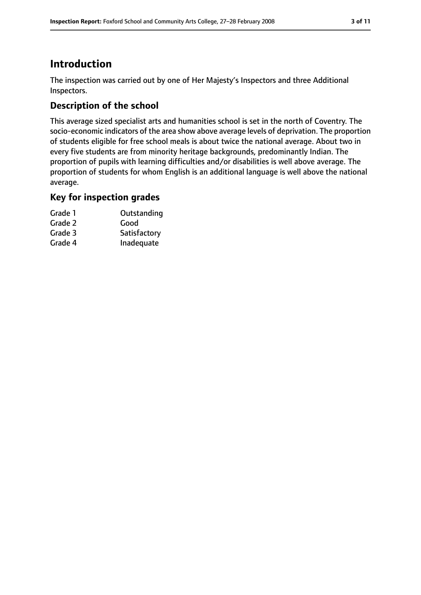# **Introduction**

The inspection was carried out by one of Her Majesty's Inspectors and three Additional Inspectors.

# **Description of the school**

This average sized specialist arts and humanities school is set in the north of Coventry. The socio-economic indicators of the area show above average levels of deprivation. The proportion of students eligible for free school meals is about twice the national average. About two in every five students are from minority heritage backgrounds, predominantly Indian. The proportion of pupils with learning difficulties and/or disabilities is well above average. The proportion of students for whom English is an additional language is well above the national average.

#### **Key for inspection grades**

| Grade 1 | Outstanding  |
|---------|--------------|
| Grade 2 | Good         |
| Grade 3 | Satisfactory |
| Grade 4 | Inadequate   |
|         |              |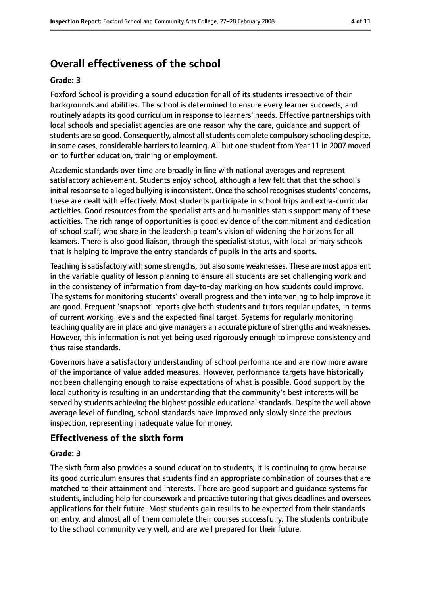# **Overall effectiveness of the school**

#### **Grade: 3**

Foxford School is providing a sound education for all of its students irrespective of their backgrounds and abilities. The school is determined to ensure every learner succeeds, and routinely adapts its good curriculum in response to learners' needs. Effective partnerships with local schools and specialist agencies are one reason why the care, guidance and support of students are so good. Consequently, almost all students complete compulsory schooling despite, in some cases, considerable barriers to learning. All but one student from Year 11 in 2007 moved on to further education, training or employment.

Academic standards over time are broadly in line with national averages and represent satisfactory achievement. Students enjoy school, although a few felt that that the school's initial response to alleged bullying is inconsistent. Once the school recognises students' concerns, these are dealt with effectively. Most students participate in school trips and extra-curricular activities. Good resources from the specialist arts and humanities status support many of these activities. The rich range of opportunities is good evidence of the commitment and dedication of school staff, who share in the leadership team's vision of widening the horizons for all learners. There is also good liaison, through the specialist status, with local primary schools that is helping to improve the entry standards of pupils in the arts and sports.

Teaching is satisfactory with some strengths, but also some weaknesses. These are most apparent in the variable quality of lesson planning to ensure all students are set challenging work and in the consistency of information from day-to-day marking on how students could improve. The systems for monitoring students' overall progress and then intervening to help improve it are good. Frequent 'snapshot' reports give both students and tutors regular updates, in terms of current working levels and the expected final target. Systems for regularly monitoring teaching quality are in place and give managers an accurate picture of strengths and weaknesses. However, this information is not yet being used rigorously enough to improve consistency and thus raise standards.

Governors have a satisfactory understanding of school performance and are now more aware of the importance of value added measures. However, performance targets have historically not been challenging enough to raise expectations of what is possible. Good support by the local authority is resulting in an understanding that the community's best interests will be served by students achieving the highest possible educational standards. Despite the well above average level of funding, school standards have improved only slowly since the previous inspection, representing inadequate value for money.

## **Effectiveness of the sixth form**

#### **Grade: 3**

The sixth form also provides a sound education to students; it is continuing to grow because its good curriculum ensures that students find an appropriate combination of courses that are matched to their attainment and interests. There are good support and guidance systems for students, including help for coursework and proactive tutoring that gives deadlines and oversees applications for their future. Most students gain results to be expected from their standards on entry, and almost all of them complete their courses successfully. The students contribute to the school community very well, and are well prepared for their future.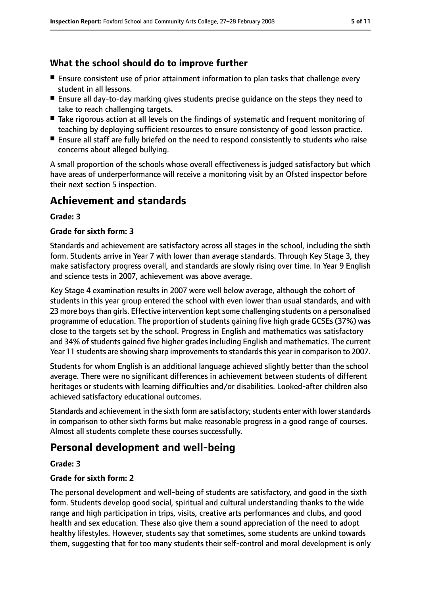## **What the school should do to improve further**

- Ensure consistent use of prior attainment information to plan tasks that challenge every student in all lessons.
- Ensure all day-to-day marking gives students precise guidance on the steps they need to take to reach challenging targets.
- Take rigorous action at all levels on the findings of systematic and frequent monitoring of teaching by deploying sufficient resources to ensure consistency of good lesson practice.
- Ensure all staff are fully briefed on the need to respond consistently to students who raise concerns about alleged bullying.

A small proportion of the schools whose overall effectiveness is judged satisfactory but which have areas of underperformance will receive a monitoring visit by an Ofsted inspector before their next section 5 inspection.

# **Achievement and standards**

#### **Grade: 3**

#### **Grade for sixth form: 3**

Standards and achievement are satisfactory across all stages in the school, including the sixth form. Students arrive in Year 7 with lower than average standards. Through Key Stage 3, they make satisfactory progress overall, and standards are slowly rising over time. In Year 9 English and science tests in 2007, achievement was above average.

Key Stage 4 examination results in 2007 were well below average, although the cohort of students in this year group entered the school with even lower than usual standards, and with 23 more boys than girls. Effective intervention kept some challenging students on a personalised programme of education. The proportion of students gaining five high grade GCSEs (37%) was close to the targets set by the school. Progress in English and mathematics was satisfactory and 34% of students gained five higher grades including English and mathematics. The current Year 11 students are showing sharp improvements to standards this year in comparison to 2007.

Students for whom English is an additional language achieved slightly better than the school average. There were no significant differences in achievement between students of different heritages or students with learning difficulties and/or disabilities. Looked-after children also achieved satisfactory educational outcomes.

Standards and achievement in the sixth form are satisfactory; students enter with lower standards in comparison to other sixth forms but make reasonable progress in a good range of courses. Almost all students complete these courses successfully.

# **Personal development and well-being**

#### **Grade: 3**

#### **Grade for sixth form: 2**

The personal development and well-being of students are satisfactory, and good in the sixth form. Students develop good social, spiritual and cultural understanding thanks to the wide range and high participation in trips, visits, creative arts performances and clubs, and good health and sex education. These also give them a sound appreciation of the need to adopt healthy lifestyles. However, students say that sometimes, some students are unkind towards them, suggesting that for too many students their self-control and moral development is only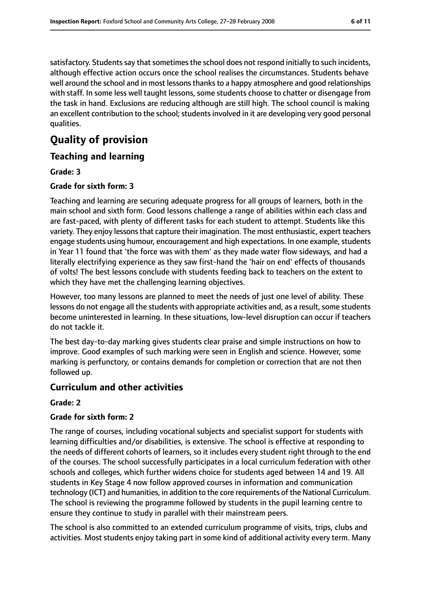satisfactory. Students say that sometimes the school does not respond initially to such incidents, although effective action occurs once the school realises the circumstances. Students behave well around the school and in most lessons thanks to a happy atmosphere and good relationships with staff. In some less well taught lessons, some students choose to chatter or disengage from the task in hand. Exclusions are reducing although are still high. The school council is making an excellent contribution to the school; students involved in it are developing very good personal qualities.

# **Quality of provision**

## **Teaching and learning**

#### **Grade: 3**

#### **Grade for sixth form: 3**

Teaching and learning are securing adequate progress for all groups of learners, both in the main school and sixth form. Good lessons challenge a range of abilities within each class and are fast-paced, with plenty of different tasks for each student to attempt. Students like this variety. They enjoy lessons that capture their imagination. The most enthusiastic, expert teachers engage students using humour, encouragement and high expectations. In one example, students in Year 11 found that 'the force was with them' as they made water flow sideways, and had a literally electrifying experience as they saw first-hand the 'hair on end' effects of thousands of volts! The best lessons conclude with students feeding back to teachers on the extent to which they have met the challenging learning objectives.

However, too many lessons are planned to meet the needs of just one level of ability. These lessons do not engage all the students with appropriate activities and, as a result, some students become uninterested in learning. In these situations, low-level disruption can occur if teachers do not tackle it.

The best day-to-day marking gives students clear praise and simple instructions on how to improve. Good examples of such marking were seen in English and science. However, some marking is perfunctory, or contains demands for completion or correction that are not then followed up.

#### **Curriculum and other activities**

#### **Grade: 2**

#### **Grade for sixth form: 2**

The range of courses, including vocational subjects and specialist support for students with learning difficulties and/or disabilities, is extensive. The school is effective at responding to the needs of different cohorts of learners, so it includes every student right through to the end of the courses. The school successfully participates in a local curriculum federation with other schools and colleges, which further widens choice for students aged between 14 and 19. All students in Key Stage 4 now follow approved courses in information and communication technology (ICT) and humanities, in addition to the core requirements of the National Curriculum. The school is reviewing the programme followed by students in the pupil learning centre to ensure they continue to study in parallel with their mainstream peers.

The school is also committed to an extended curriculum programme of visits, trips, clubs and activities. Most students enjoy taking part in some kind of additional activity every term. Many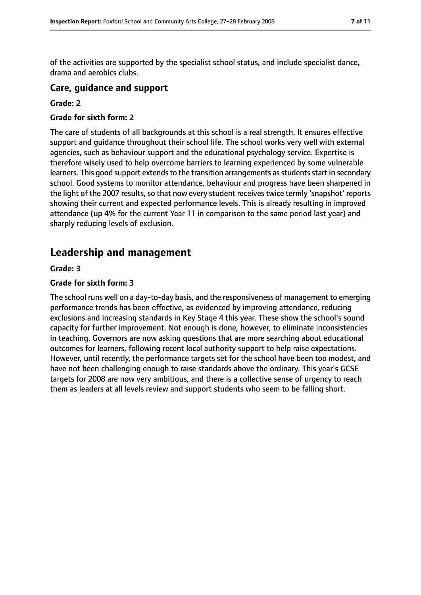of the activities are supported by the specialist school status, and include specialist dance, drama and aerobics clubs.

#### **Care, guidance and support**

#### **Grade: 2**

#### **Grade for sixth form: 2**

The care of students of all backgrounds at this school is a real strength. It ensures effective support and guidance throughout their school life. The school works very well with external agencies, such as behaviour support and the educational psychology service. Expertise is therefore wisely used to help overcome barriers to learning experienced by some vulnerable learners. This good support extends to the transition arrangements as students start in secondary school. Good systems to monitor attendance, behaviour and progress have been sharpened in the light of the 2007 results, so that now every student receives twice termly 'snapshot' reports showing their current and expected performance levels. This is already resulting in improved attendance (up 4% for the current Year 11 in comparison to the same period last year) and sharply reducing levels of exclusion.

# **Leadership and management**

#### **Grade: 3**

#### **Grade for sixth form: 3**

The school runs well on a day-to-day basis, and the responsiveness of management to emerging performance trends has been effective, as evidenced by improving attendance, reducing exclusions and increasing standards in Key Stage 4 this year. These show the school's sound capacity for further improvement. Not enough is done, however, to eliminate inconsistencies in teaching. Governors are now asking questions that are more searching about educational outcomes for learners, following recent local authority support to help raise expectations. However, until recently, the performance targets set for the school have been too modest, and have not been challenging enough to raise standards above the ordinary. This year's GCSE targets for 2008 are now very ambitious, and there is a collective sense of urgency to reach them as leaders at all levels review and support students who seem to be falling short.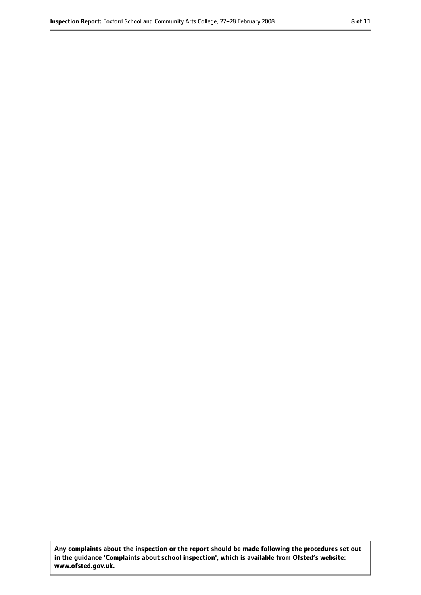**Any complaints about the inspection or the report should be made following the procedures set out in the guidance 'Complaints about school inspection', which is available from Ofsted's website: www.ofsted.gov.uk.**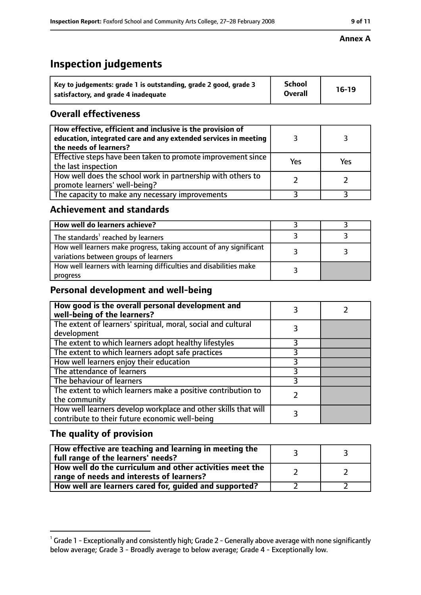#### **Annex A**

# **Inspection judgements**

| Key to judgements: grade 1 is outstanding, grade 2 good, grade 3 | <b>School</b>  | $16-19$ |
|------------------------------------------------------------------|----------------|---------|
| satisfactory, and grade 4 inadequate                             | <b>Overall</b> |         |

# **Overall effectiveness**

| How effective, efficient and inclusive is the provision of<br>education, integrated care and any extended services in meeting<br>the needs of learners? |     |     |
|---------------------------------------------------------------------------------------------------------------------------------------------------------|-----|-----|
| Effective steps have been taken to promote improvement since<br>the last inspection                                                                     | Yes | Yes |
| How well does the school work in partnership with others to<br>promote learners' well-being?                                                            |     |     |
| The capacity to make any necessary improvements                                                                                                         |     |     |

## **Achievement and standards**

| How well do learners achieve?                                                                               |  |
|-------------------------------------------------------------------------------------------------------------|--|
| The standards <sup>1</sup> reached by learners                                                              |  |
| How well learners make progress, taking account of any significant<br>variations between groups of learners |  |
| How well learners with learning difficulties and disabilities make<br>progress                              |  |

## **Personal development and well-being**

| How good is the overall personal development and<br>well-being of the learners?                                  |  |
|------------------------------------------------------------------------------------------------------------------|--|
| The extent of learners' spiritual, moral, social and cultural<br>development                                     |  |
| The extent to which learners adopt healthy lifestyles                                                            |  |
| The extent to which learners adopt safe practices                                                                |  |
| How well learners enjoy their education                                                                          |  |
| The attendance of learners                                                                                       |  |
| The behaviour of learners                                                                                        |  |
| The extent to which learners make a positive contribution to<br>the community                                    |  |
| How well learners develop workplace and other skills that will<br>contribute to their future economic well-being |  |

# **The quality of provision**

| How effective are teaching and learning in meeting the<br>full range of the learners' needs?          |  |
|-------------------------------------------------------------------------------------------------------|--|
| How well do the curriculum and other activities meet the<br>range of needs and interests of learners? |  |
| How well are learners cared for, guided and supported?                                                |  |

 $^1$  Grade 1 - Exceptionally and consistently high; Grade 2 - Generally above average with none significantly below average; Grade 3 - Broadly average to below average; Grade 4 - Exceptionally low.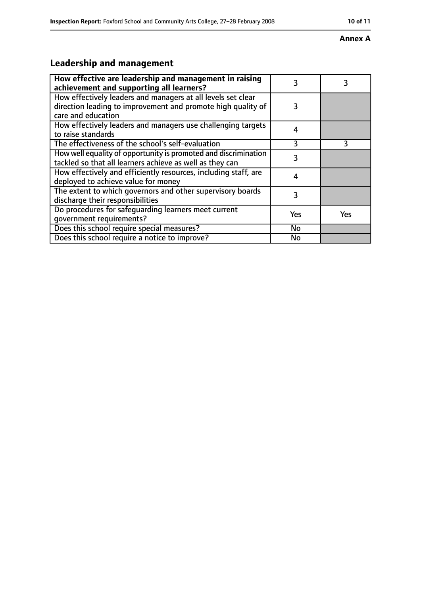#### **Annex A**

# **Leadership and management**

| How effective are leadership and management in raising<br>achievement and supporting all learners?                                                 | 3         | 3   |
|----------------------------------------------------------------------------------------------------------------------------------------------------|-----------|-----|
| How effectively leaders and managers at all levels set clear<br>direction leading to improvement and promote high quality of<br>care and education | 3         |     |
| How effectively leaders and managers use challenging targets<br>to raise standards                                                                 | 4         |     |
| The effectiveness of the school's self-evaluation                                                                                                  | 3         | 3   |
| How well equality of opportunity is promoted and discrimination<br>tackled so that all learners achieve as well as they can                        | 3         |     |
| How effectively and efficiently resources, including staff, are<br>deployed to achieve value for money                                             | 4         |     |
| The extent to which governors and other supervisory boards<br>discharge their responsibilities                                                     | 3         |     |
| Do procedures for safequarding learners meet current<br>qovernment requirements?                                                                   | Yes       | Yes |
| Does this school require special measures?                                                                                                         | No        |     |
| Does this school require a notice to improve?                                                                                                      | <b>No</b> |     |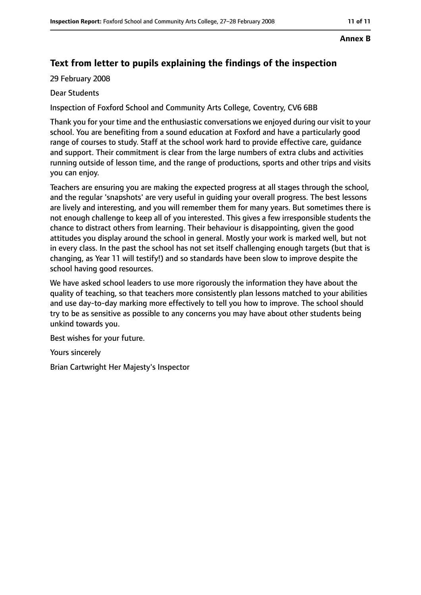#### **Annex B**

# **Text from letter to pupils explaining the findings of the inspection**

29 February 2008

#### Dear Students

Inspection of Foxford School and Community Arts College, Coventry, CV6 6BB

Thank you for your time and the enthusiastic conversations we enjoyed during our visit to your school. You are benefiting from a sound education at Foxford and have a particularly good range of courses to study. Staff at the school work hard to provide effective care, guidance and support. Their commitment is clear from the large numbers of extra clubs and activities running outside of lesson time, and the range of productions, sports and other trips and visits you can enjoy.

Teachers are ensuring you are making the expected progress at all stages through the school, and the regular 'snapshots' are very useful in guiding your overall progress. The best lessons are lively and interesting, and you will remember them for many years. But sometimes there is not enough challenge to keep all of you interested. This gives a few irresponsible students the chance to distract others from learning. Their behaviour is disappointing, given the good attitudes you display around the school in general. Mostly your work is marked well, but not in every class. In the past the school has not set itself challenging enough targets (but that is changing, as Year 11 will testify!) and so standards have been slow to improve despite the school having good resources.

We have asked school leaders to use more rigorously the information they have about the quality of teaching, so that teachers more consistently plan lessons matched to your abilities and use day-to-day marking more effectively to tell you how to improve. The school should try to be as sensitive as possible to any concerns you may have about other students being unkind towards you.

Best wishes for your future.

Yours sincerely

Brian Cartwright Her Majesty's Inspector